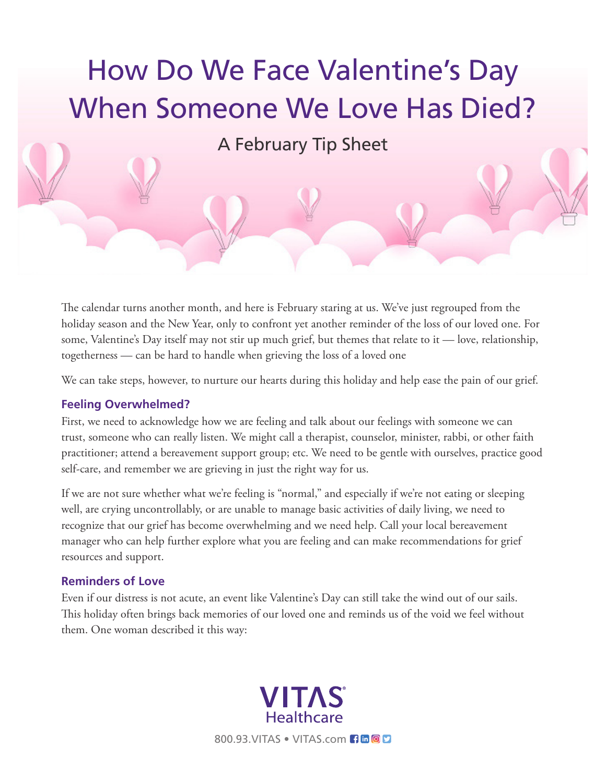

The calendar turns another month, and here is February staring at us. We've just regrouped from the holiday season and the New Year, only to confront yet another reminder of the loss of our loved one. For some, Valentine's Day itself may not stir up much grief, but themes that relate to it — love, relationship, togetherness — can be hard to handle when grieving the loss of a loved one

We can take steps, however, to nurture our hearts during this holiday and help ease the pain of our grief.

## **Feeling Overwhelmed?**

First, we need to acknowledge how we are feeling and talk about our feelings with someone we can trust, someone who can really listen. We might call a therapist, counselor, minister, rabbi, or other faith practitioner; attend a bereavement support group; etc. We need to be gentle with ourselves, practice good self-care, and remember we are grieving in just the right way for us.

If we are not sure whether what we're feeling is "normal," and especially if we're not eating or sleeping well, are crying uncontrollably, or are unable to manage basic activities of daily living, we need to recognize that our grief has become overwhelming and we need help. Call your local bereavement manager who can help further explore what you are feeling and can make recommendations for grief resources and support.

## **Reminders of Love**

Even if our distress is not acute, an event like Valentine's Day can still take the wind out of our sails. This holiday often brings back memories of our loved one and reminds us of the void we feel without them. One woman described it this way: